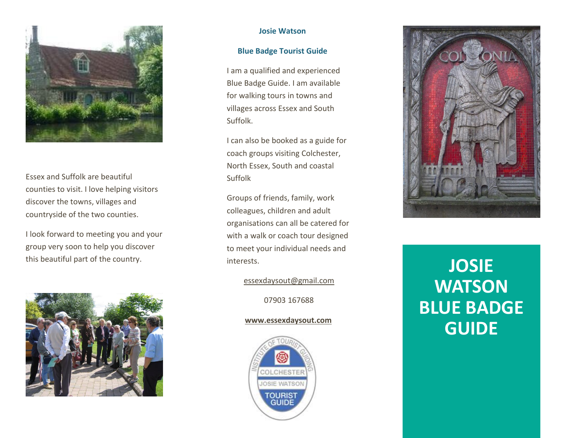

Essex and Suffolk are beautiful counties to visit. I love helping visitors discover the towns, villages and countryside of the two counties.

I look forward to meeting you and your group very soon to help you discover this beautiful part of the country.



## **Josie Watson**

## **Blue Badge Tourist Guide**

I am a qualified and experienced Blue Badge Guide. I am available for walking tours in towns and villages across Essex and South Suffolk.

I can also be booked as a guide for coach groups visiting Colchester, North Essex, South and coastal Suffolk

Groups of friends, family, work colleagues, children and adult organisations can all be catered for with a walk or coach tour designed to meet your individual needs and interests.

# [essexdaysout@gmail.com](mailto:essexdaysout@gmail.com)

07903 167688

### **[www.essexdaysout.com](http://www.essexdaysout.com/)**





# **JOSIE WATSON BLUE BADGE GUIDE**